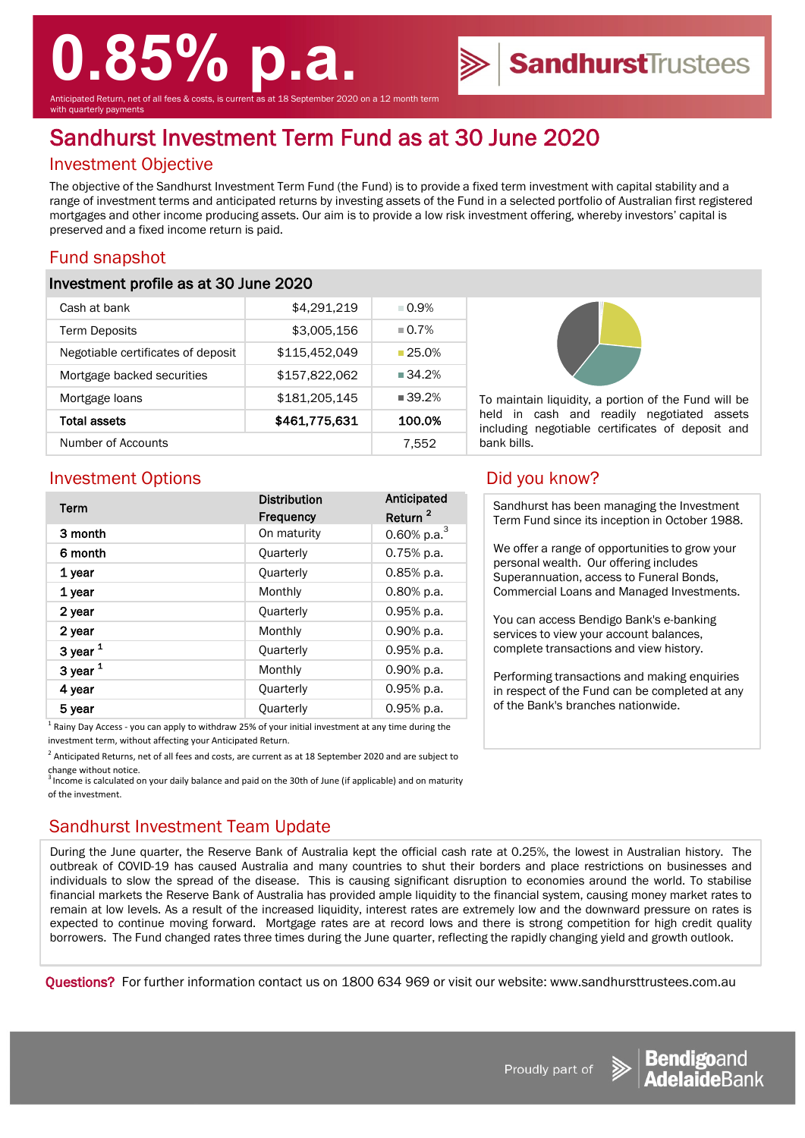# **0.85% p.a.**

nticipated Return, net of all fees & costs, is current as at 18 September 2020 on a 12 month term ith quarterly payments

## Sandhurst Investment Term Fund as at 30 June 2020

#### Investment Objective

The objective of the Sandhurst Investment Term Fund (the Fund) is to provide a fixed term investment with capital stability and a range of investment terms and anticipated returns by investing assets of the Fund in a selected portfolio of Australian first registered mortgages and other income producing assets. Our aim is to provide a low risk investment offering, whereby investors' capital is preserved and a fixed income return is paid.

#### Fund snapshot

#### Investment profile as at 30 June 2020

| Cash at bank                       | \$4,291,219   | $\Box$ 0.9%          |
|------------------------------------|---------------|----------------------|
| <b>Term Deposits</b>               | \$3,005,156   | $\Box$ 0.7%          |
| Negotiable certificates of deposit | \$115,452,049 | $-25.0%$             |
| Mortgage backed securities         | \$157,822,062 | $\blacksquare$ 34.2% |
| Mortgage loans                     | \$181,205,145 | $\blacksquare$ 39.2% |
| <b>Total assets</b>                | \$461,775,631 | 100.0%               |
| Number of Accounts                 |               | 7.552                |



To maintain liquidity, a portion of the Fund will be held in cash and readily negotiated assets including negotiable certificates of deposit and bank bills.

#### Investment Options **Did you know?**

| Term                                                                                                                       | <b>Distribution</b> | Anticipated         |
|----------------------------------------------------------------------------------------------------------------------------|---------------------|---------------------|
|                                                                                                                            | <b>Frequency</b>    | Return <sup>2</sup> |
| 3 month                                                                                                                    | On maturity         | 0.60% p.a. $3$      |
| 6 month                                                                                                                    | Quarterly           | $0.75%$ p.a.        |
| 1 year                                                                                                                     | Quarterly           | $0.85%$ p.a.        |
| 1 year                                                                                                                     | Monthly             | $0.80%$ p.a.        |
| 2 year                                                                                                                     | Quarterly           | $0.95%$ p.a.        |
| 2 year                                                                                                                     | Monthly             | 0.90% p.a.          |
| 3 year $1$                                                                                                                 | Quarterly           | 0.95% p.a.          |
| 3 year $1$                                                                                                                 | Monthly             | 0.90% p.a.          |
| 4 year                                                                                                                     | Quarterly           | 0.95% p.a.          |
| 5 year                                                                                                                     | Quarterly           | 0.95% p.a.          |
| $1 - 1$<br>the second complete the second contract of the second contract of the second contract of the second contract of |                     |                     |

1 Rainy Day Access - you can apply to withdraw 25% of your initial investment at any time during the investment term, without affecting your Anticipated Return.

 $^2$  Anticipated Returns, net of all fees and costs, are current as at 18 September 2020 and are subject to change without notice.

Income is calculated on your daily balance and paid on the 30th of June (if applicable) and on maturity of the investment.

### Sandhurst Investment Team Update

During the June quarter, the Reserve Bank of Australia kept the official cash rate at 0.25%, the lowest in Australian history. The outbreak of COVID-19 has caused Australia and many countries to shut their borders and place restrictions on businesses and individuals to slow the spread of the disease. This is causing significant disruption to economies around the world. To stabilise financial markets the Reserve Bank of Australia has provided ample liquidity to the financial system, causing money market rates to remain at low levels. As a result of the increased liquidity, interest rates are extremely low and the downward pressure on rates is expected to continue moving forward. Mortgage rates are at record lows and there is strong competition for high credit quality borrowers. The Fund changed rates three times during the June quarter, reflecting the rapidly changing yield and growth outlook.

Questions? For further information contact us on 1800 634 969 or visit our website: www.sandhursttrustees.com.au

Sandhurst has been managing the Investment Term Fund since its inception in October 1988.

We offer a range of opportunities to grow your personal wealth. Our offering includes Superannuation, access to Funeral Bonds, Commercial Loans and Managed Investments.

You can access Bendigo Bank's e-banking services to view your account balances, complete transactions and view history.

Performing transactions and making enquiries in respect of the Fund can be completed at any of the Bank's branches nationwide.





**Sandhurst**Trustees